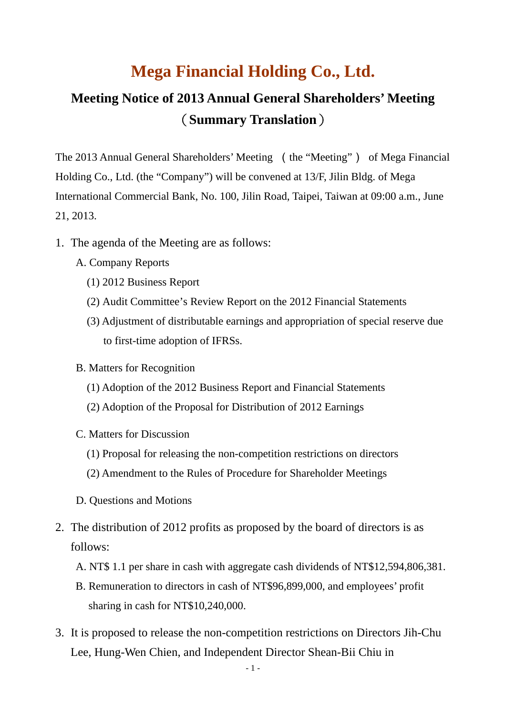## **Mega Financial Holding Co., Ltd.**

## **Meeting Notice of 2013 Annual General Shareholders' Meeting** (**Summary Translation**)

The 2013 Annual General Shareholders' Meeting (the "Meeting") of Mega Financial Holding Co., Ltd. (the "Company") will be convened at 13/F, Jilin Bldg. of Mega International Commercial Bank, No. 100, Jilin Road, Taipei, Taiwan at 09:00 a.m., June 21, 2013.

- 1. The agenda of the Meeting are as follows:
	- A. Company Reports
		- (1) 2012 Business Report
		- (2) Audit Committee's Review Report on the 2012 Financial Statements
		- (3) Adjustment of distributable earnings and appropriation of special reserve due to first-time adoption of IFRSs.
	- B. Matters for Recognition
		- (1) Adoption of the 2012 Business Report and Financial Statements
		- (2) Adoption of the Proposal for Distribution of 2012 Earnings
	- C. Matters for Discussion
		- (1) Proposal for releasing the non-competition restrictions on directors
		- (2) Amendment to the Rules of Procedure for Shareholder Meetings
	- D. Questions and Motions
- 2. The distribution of 2012 profits as proposed by the board of directors is as follows:
	- A. NT\$ 1.1 per share in cash with aggregate cash dividends of NT\$12,594,806,381.
	- B. Remuneration to directors in cash of NT\$96,899,000, and employees' profit sharing in cash for NT\$10,240,000.
- 3. It is proposed to release the non-competition restrictions on Directors Jih-Chu Lee, Hung-Wen Chien, and Independent Director Shean-Bii Chiu in